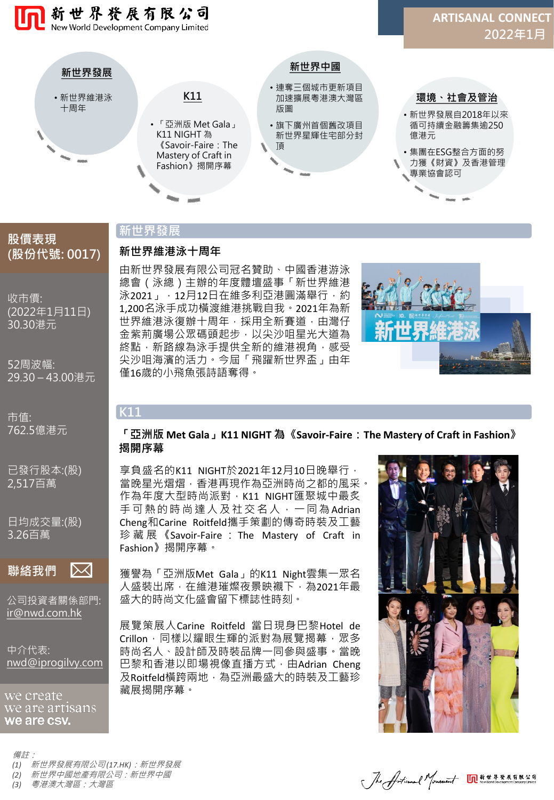

# **股價表現 (股份代號: 0017)**

收市價: (2022年1月11日)

30.30港元

52周波幅: 29.30 – 43.00港元

市值: 762.5億港元

已發行股本:(股) 2,517百萬

日均成交量:(股) 3.26百萬

**聯絡我們**  $\boxtimes$ 

公司投資者關係部門: [ir@nwd.com.hk](mailto:ir@nwd.com.hk)

中介代表: [nwd@iprogilvy.com](mailto:nwd@iprogilvy.com)

we create we are artisans we are csv.

#### 備註:

*(1)* 新世界發展有限公司 *(17.HK)*:新世界發展

*(2)* 新世界中國地產有限公司:新世界中國

*(3)* 粵港澳大灣區:大灣區

# **新世界發展**

**新世界維港泳十周年**

由新世界發展有限公司冠名贊助、中國香港游泳 總會(泳總)主辦的年度體壇盛事「新世界維港 泳2021」,12月12日在維多利亞港圓滿舉行,約 1,200名泳手成功橫渡維港挑戰自我。2021年為新 世界維港泳復辦十周年,採用全新賽道,由灣仔 金紫荊廣場公眾碼頭起步,以尖沙咀星光大道為 終點,新路線為泳手提供全新的維港視角,感受 尖沙咀海濱的活力。今屆「飛躍新世界盃」由年

僅16歲的小飛魚張詩語奪得。



# **K11**

#### **「亞洲版 Met Gala」K11 NIGHT 為《Savoir-Faire:The Mastery of Craft in Fashion》 揭開序幕**

享負盛名的K11 NIGHT於2021年12月10日晚舉行, 當晚星光熠熠,香港再現作為亞洲時尚之都的風采。 作為年度大型時尚派對, K11 NIGHT匯聚城中最炙 手可熱的時尚達人及社交名人,一同為Adrian Cheng和Carine Roitfeld攜手策劃的傳奇時裝及工藝 珍藏展 《Savoir-Faire : The Mastery of Craft in Fashion》揭開序幕。

獲譽為「亞洲版Met Gala」的K11 Night雲集一眾名 人盛裝出席, 在維港璀燦夜景映襯下, 為2021年最 盛大的時尚文化盛會留下標誌性時刻。

展覽策展人Carine Roitfeld 當日現身巴黎Hotel de Crillon, 同樣以耀眼生輝的派對為展覽揭幕, 眾多 時尚名人、設計師及時裝品牌一同參與盛事。當晚 巴黎和香港以即場視像直播方式, 由Adrian Cheng 及Roitfeld橫跨兩地,為亞洲最盛大的時裝及工藝珍 藏展揭開序幕。



Jhe Articanal Monetaint On ###########